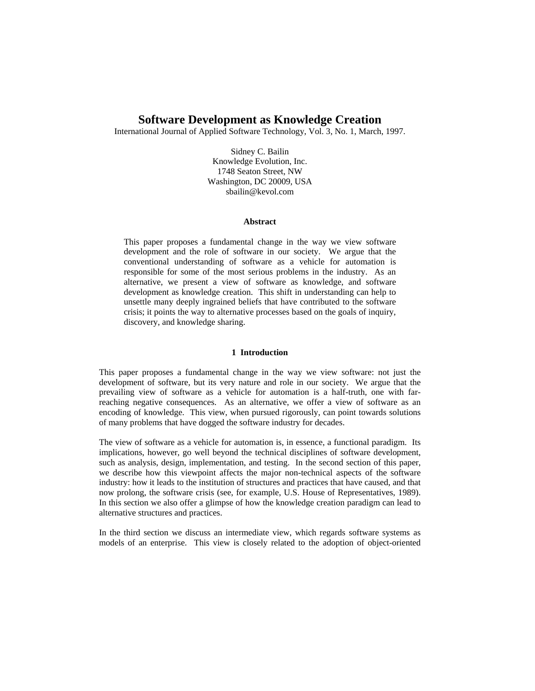# **Software Development as Knowledge Creation**

International Journal of Applied Software Technology, Vol. 3, No. 1, March, 1997.

Sidney C. Bailin Knowledge Evolution, Inc. 1748 Seaton Street, NW Washington, DC 20009, USA sbailin@kevol.com

### **Abstract**

This paper proposes a fundamental change in the way we view software development and the role of software in our society. We argue that the conventional understanding of software as a vehicle for automation is responsible for some of the most serious problems in the industry. As an alternative, we present a view of software as knowledge, and software development as knowledge creation. This shift in understanding can help to unsettle many deeply ingrained beliefs that have contributed to the software crisis; it points the way to alternative processes based on the goals of inquiry, discovery, and knowledge sharing.

### **1 Introduction**

This paper proposes a fundamental change in the way we view software: not just the development of software, but its very nature and role in our society. We argue that the prevailing view of software as a vehicle for automation is a half-truth, one with farreaching negative consequences. As an alternative, we offer a view of software as an encoding of knowledge. This view, when pursued rigorously, can point towards solutions of many problems that have dogged the software industry for decades.

The view of software as a vehicle for automation is, in essence, a functional paradigm. Its implications, however, go well beyond the technical disciplines of software development, such as analysis, design, implementation, and testing. In the second section of this paper, we describe how this viewpoint affects the major non-technical aspects of the software industry: how it leads to the institution of structures and practices that have caused, and that now prolong, the software crisis (see, for example, U.S. House of Representatives, 1989). In this section we also offer a glimpse of how the knowledge creation paradigm can lead to alternative structures and practices.

In the third section we discuss an intermediate view, which regards software systems as models of an enterprise. This view is closely related to the adoption of object-oriented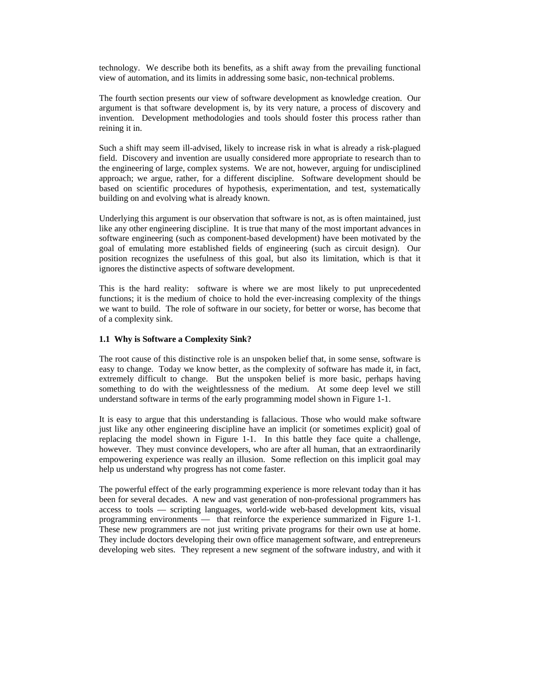technology. We describe both its benefits, as a shift away from the prevailing functional view of automation, and its limits in addressing some basic, non-technical problems.

The fourth section presents our view of software development as knowledge creation. Our argument is that software development is, by its very nature, a process of discovery and invention. Development methodologies and tools should foster this process rather than reining it in.

Such a shift may seem ill-advised, likely to increase risk in what is already a risk-plagued field. Discovery and invention are usually considered more appropriate to research than to the engineering of large, complex systems. We are not, however, arguing for undisciplined approach; we argue, rather, for a different discipline. Software development should be based on scientific procedures of hypothesis, experimentation, and test, systematically building on and evolving what is already known.

Underlying this argument is our observation that software is not, as is often maintained, just like any other engineering discipline. It is true that many of the most important advances in software engineering (such as component-based development) have been motivated by the goal of emulating more established fields of engineering (such as circuit design). Our position recognizes the usefulness of this goal, but also its limitation, which is that it ignores the distinctive aspects of software development.

This is the hard reality: software is where we are most likely to put unprecedented functions; it is the medium of choice to hold the ever-increasing complexity of the things we want to build. The role of software in our society, for better or worse, has become that of a complexity sink.

# **1.1 Why is Software a Complexity Sink?**

The root cause of this distinctive role is an unspoken belief that, in some sense, software is easy to change. Today we know better, as the complexity of software has made it, in fact, extremely difficult to change. But the unspoken belief is more basic, perhaps having something to do with the weightlessness of the medium. At some deep level we still understand software in terms of the early programming model shown in Figure 1-1.

It is easy to argue that this understanding is fallacious. Those who would make software just like any other engineering discipline have an implicit (or sometimes explicit) goal of replacing the model shown in Figure 1-1. In this battle they face quite a challenge, however. They must convince developers, who are after all human, that an extraordinarily empowering experience was really an illusion. Some reflection on this implicit goal may help us understand why progress has not come faster.

The powerful effect of the early programming experience is more relevant today than it has been for several decades. A new and vast generation of non-professional programmers has access to tools — scripting languages, world-wide web-based development kits, visual programming environments — that reinforce the experience summarized in Figure 1-1. These new programmers are not just writing private programs for their own use at home. They include doctors developing their own office management software, and entrepreneurs developing web sites. They represent a new segment of the software industry, and with it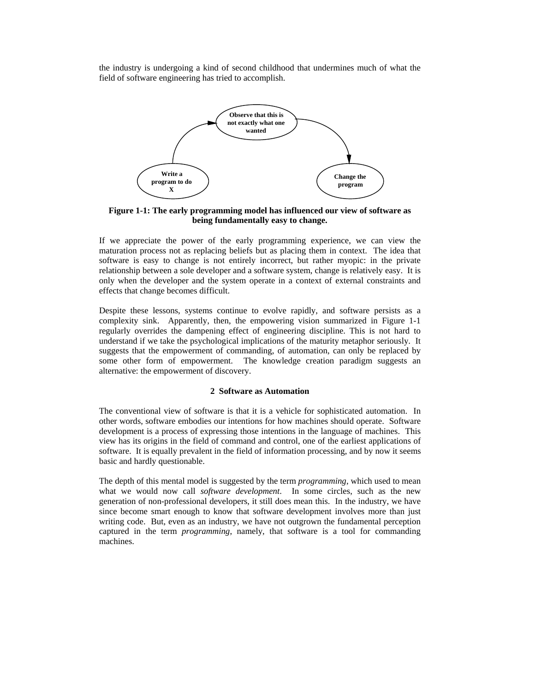the industry is undergoing a kind of second childhood that undermines much of what the field of software engineering has tried to accomplish.



**Figure 1-1: The early programming model has influenced our view of software as being fundamentally easy to change.**

If we appreciate the power of the early programming experience, we can view the maturation process not as replacing beliefs but as placing them in context. The idea that software is easy to change is not entirely incorrect, but rather myopic: in the private relationship between a sole developer and a software system, change is relatively easy. It is only when the developer and the system operate in a context of external constraints and effects that change becomes difficult.

Despite these lessons, systems continue to evolve rapidly, and software persists as a complexity sink. Apparently, then, the empowering vision summarized in Figure 1-1 regularly overrides the dampening effect of engineering discipline. This is not hard to understand if we take the psychological implications of the maturity metaphor seriously. It suggests that the empowerment of commanding, of automation, can only be replaced by some other form of empowerment. The knowledge creation paradigm suggests an alternative: the empowerment of discovery.

# **2 Software as Automation**

The conventional view of software is that it is a vehicle for sophisticated automation. In other words, software embodies our intentions for how machines should operate. Software development is a process of expressing those intentions in the language of machines. This view has its origins in the field of command and control, one of the earliest applications of software. It is equally prevalent in the field of information processing, and by now it seems basic and hardly questionable.

The depth of this mental model is suggested by the term *programming*, which used to mean what we would now call *software development*. In some circles, such as the new generation of non-professional developers, it still does mean this. In the industry, we have since become smart enough to know that software development involves more than just writing code. But, even as an industry, we have not outgrown the fundamental perception captured in the term *programming*, namely, that software is a tool for commanding machines.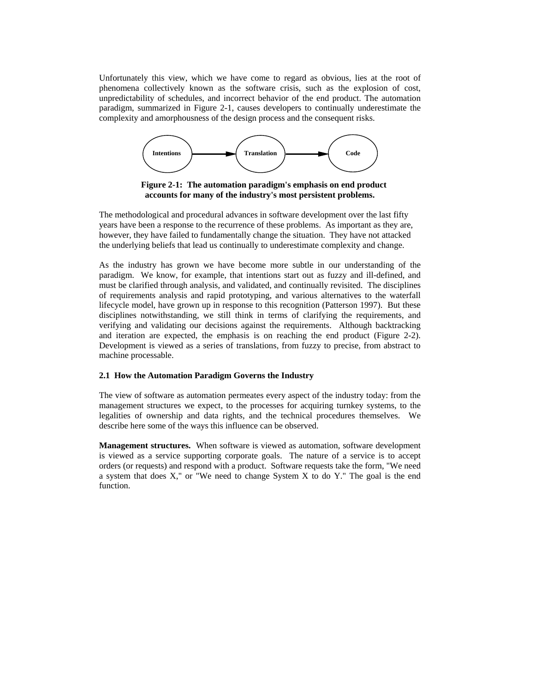Unfortunately this view, which we have come to regard as obvious, lies at the root of phenomena collectively known as the software crisis, such as the explosion of cost, unpredictability of schedules, and incorrect behavior of the end product. The automation paradigm, summarized in Figure 2-1, causes developers to continually underestimate the complexity and amorphousness of the design process and the consequent risks.



**Figure 2-1: The automation paradigm's emphasis on end product accounts for many of the industry's most persistent problems.** 

The methodological and procedural advances in software development over the last fifty years have been a response to the recurrence of these problems. As important as they are, however, they have failed to fundamentally change the situation. They have not attacked the underlying beliefs that lead us continually to underestimate complexity and change.

As the industry has grown we have become more subtle in our understanding of the paradigm. We know, for example, that intentions start out as fuzzy and ill-defined, and must be clarified through analysis, and validated, and continually revisited. The disciplines of requirements analysis and rapid prototyping, and various alternatives to the waterfall lifecycle model, have grown up in response to this recognition (Patterson 1997). But these disciplines notwithstanding, we still think in terms of clarifying the requirements, and verifying and validating our decisions against the requirements. Although backtracking and iteration are expected, the emphasis is on reaching the end product (Figure 2-2). Development is viewed as a series of translations, from fuzzy to precise, from abstract to machine processable.

# **2.1 How the Automation Paradigm Governs the Industry**

The view of software as automation permeates every aspect of the industry today: from the management structures we expect, to the processes for acquiring turnkey systems, to the legalities of ownership and data rights, and the technical procedures themselves. We describe here some of the ways this influence can be observed.

**Management structures.** When software is viewed as automation, software development is viewed as a service supporting corporate goals. The nature of a service is to accept orders (or requests) and respond with a product. Software requests take the form, "We need a system that does X," or "We need to change System X to do Y." The goal is the end function.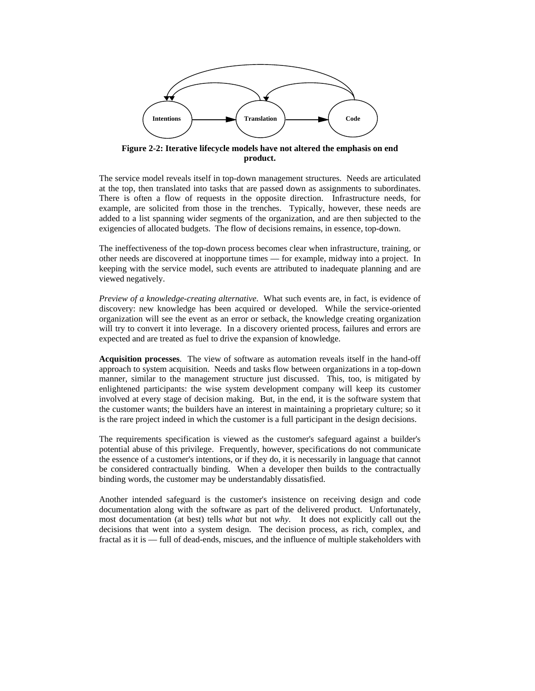

**Figure 2-2: Iterative lifecycle models have not altered the emphasis on end product.**

The service model reveals itself in top-down management structures. Needs are articulated at the top, then translated into tasks that are passed down as assignments to subordinates. There is often a flow of requests in the opposite direction. Infrastructure needs, for example, are solicited from those in the trenches. Typically, however, these needs are added to a list spanning wider segments of the organization, and are then subjected to the exigencies of allocated budgets. The flow of decisions remains, in essence, top-down.

The ineffectiveness of the top-down process becomes clear when infrastructure, training, or other needs are discovered at inopportune times — for example, midway into a project. In keeping with the service model, such events are attributed to inadequate planning and are viewed negatively.

*Preview of a knowledge-creating alternative*. What such events are, in fact, is evidence of discovery: new knowledge has been acquired or developed. While the service-oriented organization will see the event as an error or setback, the knowledge creating organization will try to convert it into leverage. In a discovery oriented process, failures and errors are expected and are treated as fuel to drive the expansion of knowledge.

**Acquisition processes**. The view of software as automation reveals itself in the hand-off approach to system acquisition. Needs and tasks flow between organizations in a top-down manner, similar to the management structure just discussed. This, too, is mitigated by enlightened participants: the wise system development company will keep its customer involved at every stage of decision making. But, in the end, it is the software system that the customer wants; the builders have an interest in maintaining a proprietary culture; so it is the rare project indeed in which the customer is a full participant in the design decisions.

The requirements specification is viewed as the customer's safeguard against a builder's potential abuse of this privilege. Frequently, however, specifications do not communicate the essence of a customer's intentions, or if they do, it is necessarily in language that cannot be considered contractually binding. When a developer then builds to the contractually binding words, the customer may be understandably dissatisfied.

Another intended safeguard is the customer's insistence on receiving design and code documentation along with the software as part of the delivered product. Unfortunately, most documentation (at best) tells *what* but not *why*. It does not explicitly call out the decisions that went into a system design. The decision process, as rich, complex, and fractal as it is — full of dead-ends, miscues, and the influence of multiple stakeholders with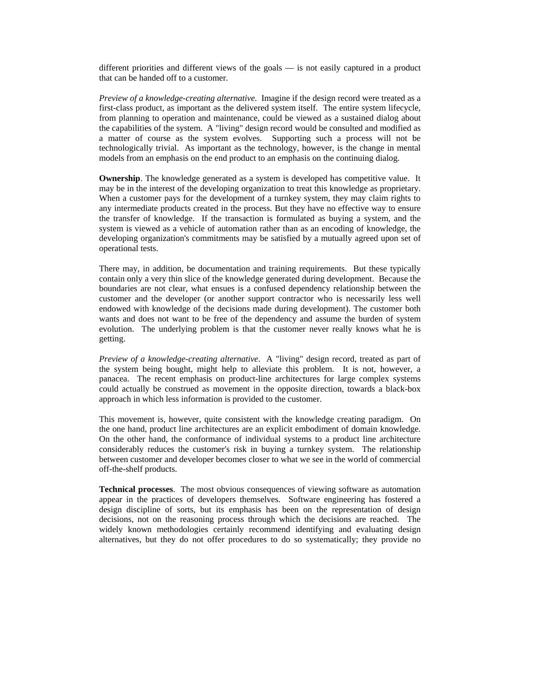different priorities and different views of the goals — is not easily captured in a product that can be handed off to a customer.

*Preview of a knowledge-creating alternative*. Imagine if the design record were treated as a first-class product, as important as the delivered system itself. The entire system lifecycle, from planning to operation and maintenance, could be viewed as a sustained dialog about the capabilities of the system. A "living" design record would be consulted and modified as a matter of course as the system evolves. Supporting such a process will not be technologically trivial. As important as the technology, however, is the change in mental models from an emphasis on the end product to an emphasis on the continuing dialog.

**Ownership**. The knowledge generated as a system is developed has competitive value. It may be in the interest of the developing organization to treat this knowledge as proprietary. When a customer pays for the development of a turnkey system, they may claim rights to any intermediate products created in the process. But they have no effective way to ensure the transfer of knowledge. If the transaction is formulated as buying a system, and the system is viewed as a vehicle of automation rather than as an encoding of knowledge, the developing organization's commitments may be satisfied by a mutually agreed upon set of operational tests.

There may, in addition, be documentation and training requirements. But these typically contain only a very thin slice of the knowledge generated during development. Because the boundaries are not clear, what ensues is a confused dependency relationship between the customer and the developer (or another support contractor who is necessarily less well endowed with knowledge of the decisions made during development). The customer both wants and does not want to be free of the dependency and assume the burden of system evolution. The underlying problem is that the customer never really knows what he is getting.

*Preview of a knowledge-creating alternative*. A "living" design record, treated as part of the system being bought, might help to alleviate this problem. It is not, however, a panacea. The recent emphasis on product-line architectures for large complex systems could actually be construed as movement in the opposite direction, towards a black-box approach in which less information is provided to the customer.

This movement is, however, quite consistent with the knowledge creating paradigm. On the one hand, product line architectures are an explicit embodiment of domain knowledge. On the other hand, the conformance of individual systems to a product line architecture considerably reduces the customer's risk in buying a turnkey system. The relationship between customer and developer becomes closer to what we see in the world of commercial off-the-shelf products.

**Technical processes**. The most obvious consequences of viewing software as automation appear in the practices of developers themselves. Software engineering has fostered a design discipline of sorts, but its emphasis has been on the representation of design decisions, not on the reasoning process through which the decisions are reached. The widely known methodologies certainly recommend identifying and evaluating design alternatives, but they do not offer procedures to do so systematically; they provide no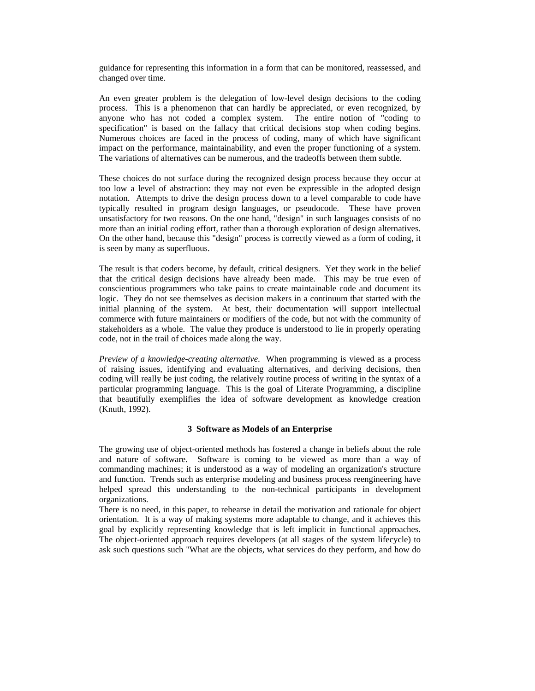guidance for representing this information in a form that can be monitored, reassessed, and changed over time.

An even greater problem is the delegation of low-level design decisions to the coding process. This is a phenomenon that can hardly be appreciated, or even recognized, by anyone who has not coded a complex system. The entire notion of "coding to specification" is based on the fallacy that critical decisions stop when coding begins. Numerous choices are faced in the process of coding, many of which have significant impact on the performance, maintainability, and even the proper functioning of a system. The variations of alternatives can be numerous, and the tradeoffs between them subtle.

These choices do not surface during the recognized design process because they occur at too low a level of abstraction: they may not even be expressible in the adopted design notation. Attempts to drive the design process down to a level comparable to code have typically resulted in program design languages, or pseudocode. These have proven unsatisfactory for two reasons. On the one hand, "design" in such languages consists of no more than an initial coding effort, rather than a thorough exploration of design alternatives. On the other hand, because this "design" process is correctly viewed as a form of coding, it is seen by many as superfluous.

The result is that coders become, by default, critical designers. Yet they work in the belief that the critical design decisions have already been made. This may be true even of conscientious programmers who take pains to create maintainable code and document its logic. They do not see themselves as decision makers in a continuum that started with the initial planning of the system. At best, their documentation will support intellectual commerce with future maintainers or modifiers of the code, but not with the community of stakeholders as a whole. The value they produce is understood to lie in properly operating code, not in the trail of choices made along the way.

*Preview of a knowledge-creating alternative*. When programming is viewed as a process of raising issues, identifying and evaluating alternatives, and deriving decisions, then coding will really be just coding, the relatively routine process of writing in the syntax of a particular programming language. This is the goal of Literate Programming, a discipline that beautifully exemplifies the idea of software development as knowledge creation (Knuth, 1992).

# **3 Software as Models of an Enterprise**

The growing use of object-oriented methods has fostered a change in beliefs about the role and nature of software. Software is coming to be viewed as more than a way of commanding machines; it is understood as a way of modeling an organization's structure and function. Trends such as enterprise modeling and business process reengineering have helped spread this understanding to the non-technical participants in development organizations.

There is no need, in this paper, to rehearse in detail the motivation and rationale for object orientation. It is a way of making systems more adaptable to change, and it achieves this goal by explicitly representing knowledge that is left implicit in functional approaches. The object-oriented approach requires developers (at all stages of the system lifecycle) to ask such questions such "What are the objects, what services do they perform, and how do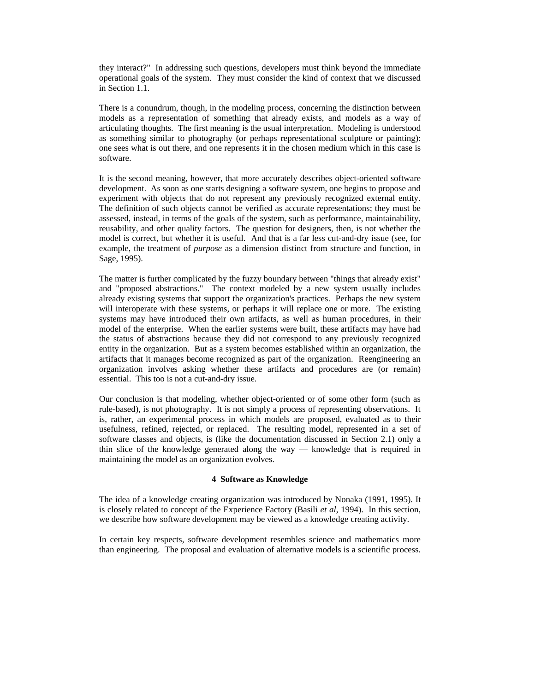they interact?" In addressing such questions, developers must think beyond the immediate operational goals of the system. They must consider the kind of context that we discussed in Section 1.1.

There is a conundrum, though, in the modeling process, concerning the distinction between models as a representation of something that already exists, and models as a way of articulating thoughts. The first meaning is the usual interpretation. Modeling is understood as something similar to photography (or perhaps representational sculpture or painting): one sees what is out there, and one represents it in the chosen medium which in this case is software.

It is the second meaning, however, that more accurately describes object-oriented software development. As soon as one starts designing a software system, one begins to propose and experiment with objects that do not represent any previously recognized external entity. The definition of such objects cannot be verified as accurate representations; they must be assessed, instead, in terms of the goals of the system, such as performance, maintainability, reusability, and other quality factors. The question for designers, then, is not whether the model is correct, but whether it is useful. And that is a far less cut-and-dry issue (see, for example, the treatment of *purpose* as a dimension distinct from structure and function, in Sage, 1995).

The matter is further complicated by the fuzzy boundary between "things that already exist" and "proposed abstractions." The context modeled by a new system usually includes already existing systems that support the organization's practices. Perhaps the new system will interoperate with these systems, or perhaps it will replace one or more. The existing systems may have introduced their own artifacts, as well as human procedures, in their model of the enterprise. When the earlier systems were built, these artifacts may have had the status of abstractions because they did not correspond to any previously recognized entity in the organization. But as a system becomes established within an organization, the artifacts that it manages become recognized as part of the organization. Reengineering an organization involves asking whether these artifacts and procedures are (or remain) essential. This too is not a cut-and-dry issue.

Our conclusion is that modeling, whether object-oriented or of some other form (such as rule-based), is not photography. It is not simply a process of representing observations. It is, rather, an experimental process in which models are proposed, evaluated as to their usefulness, refined, rejected, or replaced. The resulting model, represented in a set of software classes and objects, is (like the documentation discussed in Section 2.1) only a thin slice of the knowledge generated along the way — knowledge that is required in maintaining the model as an organization evolves.

# **4 Software as Knowledge**

The idea of a knowledge creating organization was introduced by Nonaka (1991, 1995). It is closely related to concept of the Experience Factory (Basili *et al*, 1994). In this section, we describe how software development may be viewed as a knowledge creating activity.

In certain key respects, software development resembles science and mathematics more than engineering. The proposal and evaluation of alternative models is a scientific process.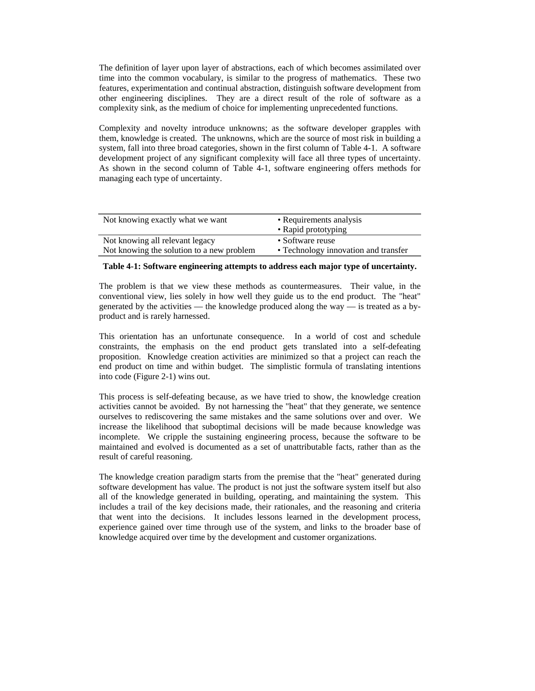The definition of layer upon layer of abstractions, each of which becomes assimilated over time into the common vocabulary, is similar to the progress of mathematics. These two features, experimentation and continual abstraction, distinguish software development from other engineering disciplines. They are a direct result of the role of software as a complexity sink, as the medium of choice for implementing unprecedented functions.

Complexity and novelty introduce unknowns; as the software developer grapples with them, knowledge is created. The unknowns, which are the source of most risk in building a system, fall into three broad categories, shown in the first column of Table 4-1. A software development project of any significant complexity will face all three types of uncertainty. As shown in the second column of Table 4-1, software engineering offers methods for managing each type of uncertainty.

| Not knowing exactly what we want          | • Requirements analysis              |
|-------------------------------------------|--------------------------------------|
|                                           | • Rapid prototyping                  |
| Not knowing all relevant legacy           | • Software reuse                     |
| Not knowing the solution to a new problem | • Technology innovation and transfer |

## **Table 4-1: Software engineering attempts to address each major type of uncertainty.**

The problem is that we view these methods as countermeasures. Their value, in the conventional view, lies solely in how well they guide us to the end product. The "heat" generated by the activities — the knowledge produced along the way — is treated as a byproduct and is rarely harnessed.

This orientation has an unfortunate consequence. In a world of cost and schedule constraints, the emphasis on the end product gets translated into a self-defeating proposition. Knowledge creation activities are minimized so that a project can reach the end product on time and within budget. The simplistic formula of translating intentions into code (Figure 2-1) wins out.

This process is self-defeating because, as we have tried to show, the knowledge creation activities cannot be avoided. By not harnessing the "heat" that they generate, we sentence ourselves to rediscovering the same mistakes and the same solutions over and over. We increase the likelihood that suboptimal decisions will be made because knowledge was incomplete. We cripple the sustaining engineering process, because the software to be maintained and evolved is documented as a set of unattributable facts, rather than as the result of careful reasoning.

The knowledge creation paradigm starts from the premise that the "heat" generated during software development has value. The product is not just the software system itself but also all of the knowledge generated in building, operating, and maintaining the system. This includes a trail of the key decisions made, their rationales, and the reasoning and criteria that went into the decisions. It includes lessons learned in the development process, experience gained over time through use of the system, and links to the broader base of knowledge acquired over time by the development and customer organizations.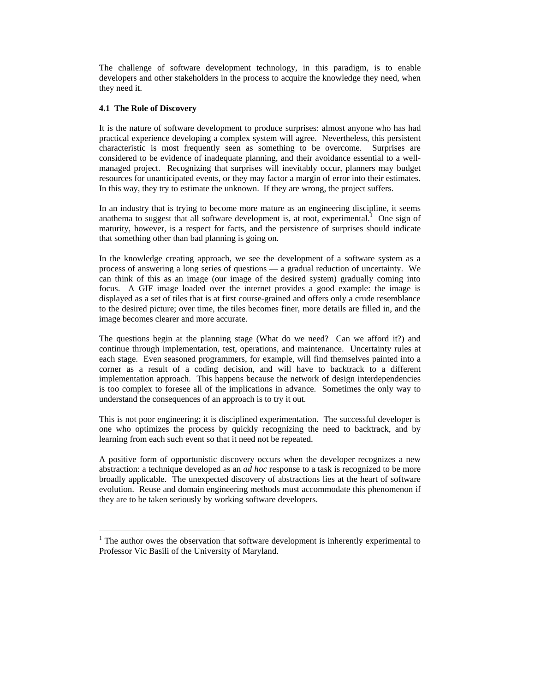The challenge of software development technology, in this paradigm, is to enable developers and other stakeholders in the process to acquire the knowledge they need, when they need it.

# **4.1 The Role of Discovery**

 $\overline{a}$ 

It is the nature of software development to produce surprises: almost anyone who has had practical experience developing a complex system will agree. Nevertheless, this persistent characteristic is most frequently seen as something to be overcome. Surprises are considered to be evidence of inadequate planning, and their avoidance essential to a wellmanaged project. Recognizing that surprises will inevitably occur, planners may budget resources for unanticipated events, or they may factor a margin of error into their estimates. In this way, they try to estimate the unknown. If they are wrong, the project suffers.

In an industry that is trying to become more mature as an engineering discipline, it seems anathemato suggest that all software development is, at root, experimental.<sup>1</sup> One sign of maturity, however, is a respect for facts, and the persistence of surprises should indicate that something other than bad planning is going on.

In the knowledge creating approach, we see the development of a software system as a process of answering a long series of questions — a gradual reduction of uncertainty. We can think of this as an image (our image of the desired system) gradually coming into focus. A GIF image loaded over the internet provides a good example: the image is displayed as a set of tiles that is at first course-grained and offers only a crude resemblance to the desired picture; over time, the tiles becomes finer, more details are filled in, and the image becomes clearer and more accurate.

The questions begin at the planning stage (What do we need? Can we afford it?) and continue through implementation, test, operations, and maintenance. Uncertainty rules at each stage. Even seasoned programmers, for example, will find themselves painted into a corner as a result of a coding decision, and will have to backtrack to a different implementation approach. This happens because the network of design interdependencies is too complex to foresee all of the implications in advance. Sometimes the only way to understand the consequences of an approach is to try it out.

This is not poor engineering; it is disciplined experimentation. The successful developer is one who optimizes the process by quickly recognizing the need to backtrack, and by learning from each such event so that it need not be repeated.

A positive form of opportunistic discovery occurs when the developer recognizes a new abstraction: a technique developed as an *ad hoc* response to a task is recognized to be more broadly applicable. The unexpected discovery of abstractions lies at the heart of software evolution. Reuse and domain engineering methods must accommodate this phenomenon if they are to be taken seriously by working software developers.

<span id="page-9-0"></span> $<sup>1</sup>$  The author owes the observation that software development is inherently experimental to</sup> Professor Vic Basili of the University of Maryland.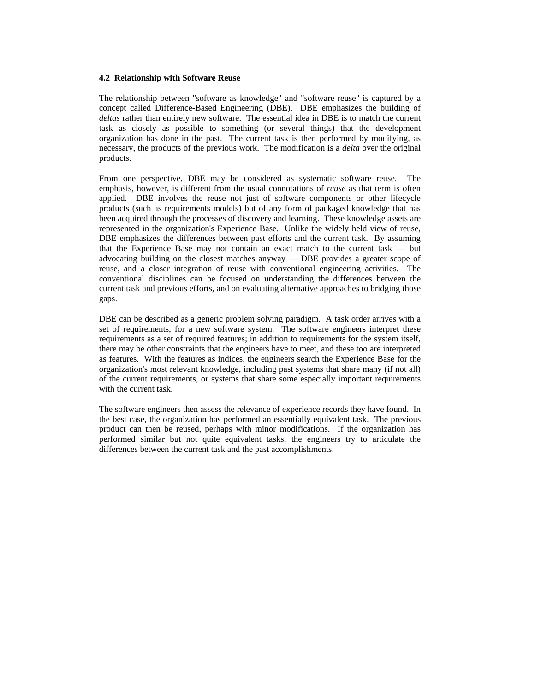## **4.2 Relationship with Software Reuse**

The relationship between "software as knowledge" and "software reuse" is captured by a concept called Difference-Based Engineering (DBE). DBE emphasizes the building of *deltas* rather than entirely new software. The essential idea in DBE is to match the current task as closely as possible to something (or several things) that the development organization has done in the past. The current task is then performed by modifying, as necessary, the products of the previous work. The modification is a *delta* over the original products.

From one perspective, DBE may be considered as systematic software reuse. The emphasis, however, is different from the usual connotations of *reuse* as that term is often applied. DBE involves the reuse not just of software components or other lifecycle products (such as requirements models) but of any form of packaged knowledge that has been acquired through the processes of discovery and learning. These knowledge assets are represented in the organization's Experience Base. Unlike the widely held view of reuse, DBE emphasizes the differences between past efforts and the current task. By assuming that the Experience Base may not contain an exact match to the current task — but advocating building on the closest matches anyway — DBE provides a greater scope of reuse, and a closer integration of reuse with conventional engineering activities. The conventional disciplines can be focused on understanding the differences between the current task and previous efforts, and on evaluating alternative approaches to bridging those gaps.

DBE can be described as a generic problem solving paradigm. A task order arrives with a set of requirements, for a new software system. The software engineers interpret these requirements as a set of required features; in addition to requirements for the system itself, there may be other constraints that the engineers have to meet, and these too are interpreted as features. With the features as indices, the engineers search the Experience Base for the organization's most relevant knowledge, including past systems that share many (if not all) of the current requirements, or systems that share some especially important requirements with the current task.

The software engineers then assess the relevance of experience records they have found. In the best case, the organization has performed an essentially equivalent task. The previous product can then be reused, perhaps with minor modifications. If the organization has performed similar but not quite equivalent tasks, the engineers try to articulate the differences between the current task and the past accomplishments.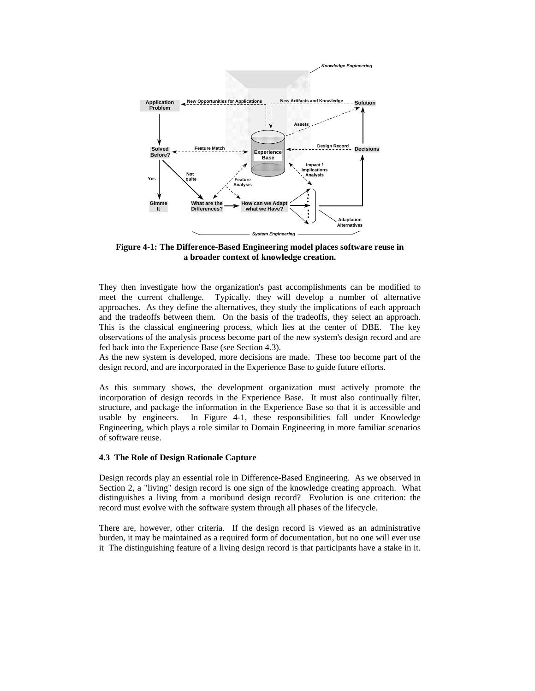

**Figure 4-1: The Difference-Based Engineering model places software reuse in a broader context of knowledge creation.** 

They then investigate how the organization's past accomplishments can be modified to meet the current challenge. Typically. they will develop a number of alternative approaches. As they define the alternatives, they study the implications of each approach and the tradeoffs between them. On the basis of the tradeoffs, they select an approach. This is the classical engineering process, which lies at the center of DBE. The key observations of the analysis process become part of the new system's design record and are fed back into the Experience Base (see Section 4.3).

As the new system is developed, more decisions are made. These too become part of the design record, and are incorporated in the Experience Base to guide future efforts.

As this summary shows, the development organization must actively promote the incorporation of design records in the Experience Base. It must also continually filter, structure, and package the information in the Experience Base so that it is accessible and usable by engineers. In Figure 4-1, these responsibilities fall under Knowledge Engineering, which plays a role similar to Domain Engineering in more familiar scenarios of software reuse.

### **4.3 The Role of Design Rationale Capture**

Design records play an essential role in Difference-Based Engineering. As we observed in Section 2, a "living" design record is one sign of the knowledge creating approach. What distinguishes a living from a moribund design record? Evolution is one criterion: the record must evolve with the software system through all phases of the lifecycle.

There are, however, other criteria. If the design record is viewed as an administrative burden, it may be maintained as a required form of documentation, but no one will ever use it The distinguishing feature of a living design record is that participants have a stake in it.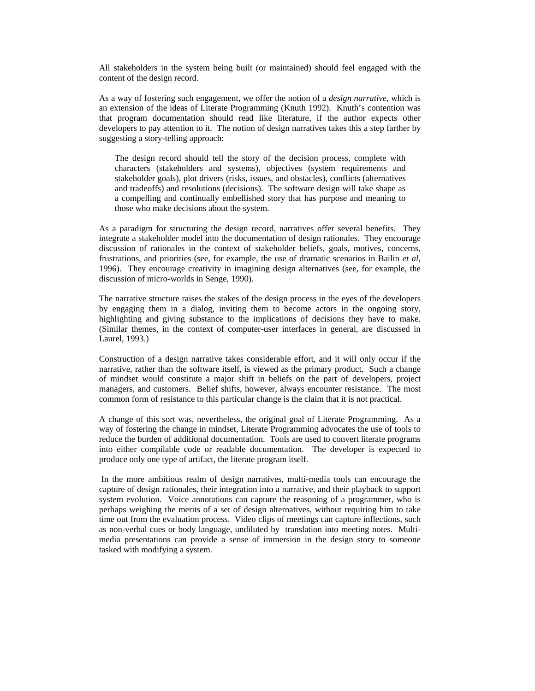All stakeholders in the system being built (or maintained) should feel engaged with the content of the design record.

As a way of fostering such engagement, we offer the notion of a *design narrative,* which is an extension of the ideas of Literate Programming (Knuth 1992). Knuth's contention was that program documentation should read like literature, if the author expects other developers to pay attention to it. The notion of design narratives takes this a step farther by suggesting a story-telling approach:

The design record should tell the story of the decision process, complete with characters (stakeholders and systems), objectives (system requirements and stakeholder goals), plot drivers (risks, issues, and obstacles), conflicts (alternatives and tradeoffs) and resolutions (decisions). The software design will take shape as a compelling and continually embellished story that has purpose and meaning to those who make decisions about the system.

As a paradigm for structuring the design record, narratives offer several benefits. They integrate a stakeholder model into the documentation of design rationales. They encourage discussion of rationales in the context of stakeholder beliefs, goals, motives, concerns, frustrations, and priorities (see, for example, the use of dramatic scenarios in Bailin *et al,* 1996). They encourage creativity in imagining design alternatives (see, for example, the discussion of micro-worlds in Senge, 1990).

The narrative structure raises the stakes of the design process in the eyes of the developers by engaging them in a dialog, inviting them to become actors in the ongoing story, highlighting and giving substance to the implications of decisions they have to make. (Similar themes, in the context of computer-user interfaces in general, are discussed in Laurel, 1993.)

Construction of a design narrative takes considerable effort, and it will only occur if the narrative, rather than the software itself, is viewed as the primary product. Such a change of mindset would constitute a major shift in beliefs on the part of developers, project managers, and customers. Belief shifts, however, always encounter resistance. The most common form of resistance to this particular change is the claim that it is not practical.

A change of this sort was, nevertheless, the original goal of Literate Programming. As a way of fostering the change in mindset, Literate Programming advocates the use of tools to reduce the burden of additional documentation. Tools are used to convert literate programs into either compilable code or readable documentation. The developer is expected to produce only one type of artifact, the literate program itself.

 In the more ambitious realm of design narratives, multi-media tools can encourage the capture of design rationales, their integration into a narrative, and their playback to support system evolution. Voice annotations can capture the reasoning of a programmer, who is perhaps weighing the merits of a set of design alternatives, without requiring him to take time out from the evaluation process. Video clips of meetings can capture inflections, such as non-verbal cues or body language, undiluted by translation into meeting notes. Multimedia presentations can provide a sense of immersion in the design story to someone tasked with modifying a system.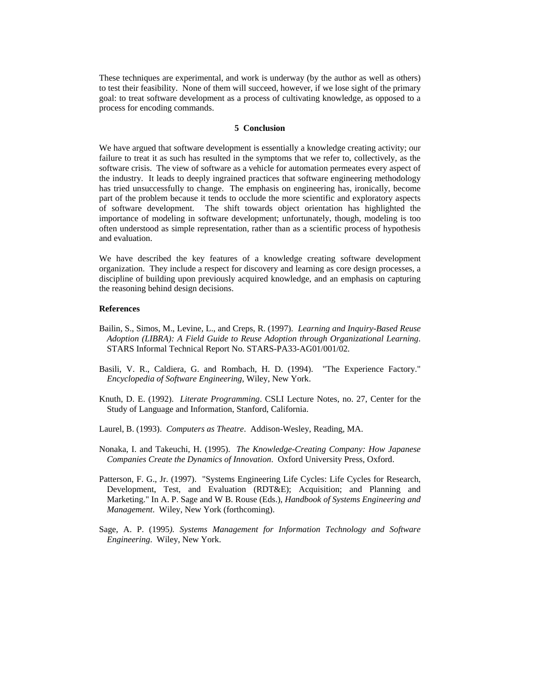These techniques are experimental, and work is underway (by the author as well as others) to test their feasibility. None of them will succeed, however, if we lose sight of the primary goal: to treat software development as a process of cultivating knowledge, as opposed to a process for encoding commands.

## **5 Conclusion**

We have argued that software development is essentially a knowledge creating activity; our failure to treat it as such has resulted in the symptoms that we refer to, collectively, as the software crisis. The view of software as a vehicle for automation permeates every aspect of the industry. It leads to deeply ingrained practices that software engineering methodology has tried unsuccessfully to change. The emphasis on engineering has, ironically, become part of the problem because it tends to occlude the more scientific and exploratory aspects of software development. The shift towards object orientation has highlighted the importance of modeling in software development; unfortunately, though, modeling is too often understood as simple representation, rather than as a scientific process of hypothesis and evaluation.

We have described the key features of a knowledge creating software development organization. They include a respect for discovery and learning as core design processes, a discipline of building upon previously acquired knowledge, and an emphasis on capturing the reasoning behind design decisions.

### **References**

- Bailin, S., Simos, M., Levine, L., and Creps, R. (1997). *Learning and Inquiry-Based Reuse Adoption (LIBRA): A Field Guide to Reuse Adoption through Organizational Learning*. STARS Informal Technical Report No. STARS-PA33-AG01/001/02.
- Basili, V. R., Caldiera, G. and Rombach, H. D. (1994). "The Experience Factory." *Encyclopedia of Software Engineering*, Wiley, New York.
- Knuth, D. E. (1992). *Literate Programming*. CSLI Lecture Notes, no. 27, Center for the Study of Language and Information, Stanford, California.
- Laurel, B. (1993). *Computers as Theatre*. Addison-Wesley, Reading, MA.
- Nonaka, I. and Takeuchi, H. (1995). *The Knowledge-Creating Company: How Japanese Companies Create the Dynamics of Innovation*. Oxford University Press, Oxford.
- Patterson, F. G., Jr. (1997). "Systems Engineering Life Cycles: Life Cycles for Research, Development, Test, and Evaluation (RDT&E); Acquisition; and Planning and Marketing." In A. P. Sage and W B. Rouse (Eds.), *Handbook of Systems Engineering and Management*. Wiley, New York (forthcoming).
- Sage, A. P. (1995*). Systems Management for Information Technology and Software Engineering*. Wiley, New York.